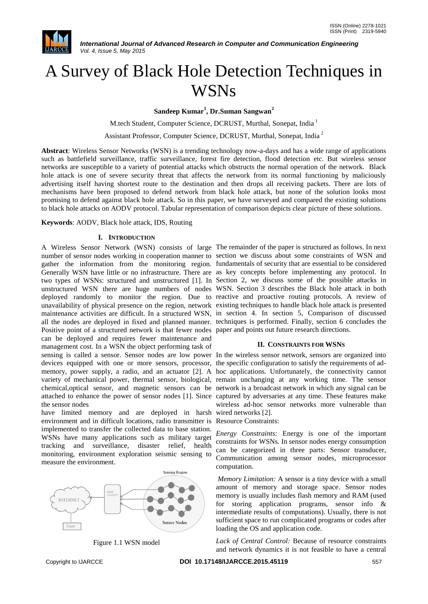

# A Survey of Black Hole Detection Techniques in **WSNs**

**Sandeep Kumar<sup>1</sup> , Dr.Suman Sangwan<sup>2</sup>**

M.tech Student, Computer Science, DCRUST, Murthal, Sonepat, India <sup>1</sup>

Assistant Professor, Computer Science, DCRUST, Murthal, Sonepat, India <sup>2</sup>

**Abstract**: Wireless Sensor Networks (WSN) is a trending technology now-a-days and has a wide range of applications such as battlefield surveillance, traffic surveillance, forest fire detection, flood detection etc. But wireless sensor networks are susceptible to a variety of potential attacks which obstructs the normal operation of the network. Black hole attack is one of severe security threat that affects the network from its normal functioning by maliciously advertising itself having shortest route to the destination and then drops all receiving packets. There are lots of mechanisms have been proposed to defend network from black hole attack, but none of the solution looks most promising to defend against black hole attack. So in this paper, we have surveyed and compared the existing solutions to black hole attacks on AODV protocol. Tabular representation of comparison depicts clear picture of these solutions.

**Keywords**: AODV, Black hole attack, IDS, Routing

## **I. INTRODUCTION**

number of sensor nodes working in cooperation manner to section we discuss about some constraints of WSN and gather the information from the monitoring region. fundamentals of security that are essential to be considered Generally WSN have little or no infrastructure. There are as key concepts before implementing any protocol. In two types of WSNs: structured and unstructured [1]. In Section 2, we discuss some of the possible attacks in unstructured WSN there are huge numbers of nodes WSN. Section 3 describes the Black hole attack in both deployed randomly to monitor the region. Due to reactive and proactive routing protocols. A review of unavailability of physical presence on the region, network existing techniques to handle black hole attack is presented maintenance activities are difficult. In a structured WSN, in section 4. In section 5, Comparison of discussed all the nodes are deployed in fixed and planned manner. techniques is performed. Finally, section 6 concludes the Positive point of a structured network is that fewer nodes paper and points out future research directions. can be deployed and requires fewer maintenance and management cost. In a WSN the object performing task of sensing is called a sensor. Sensor nodes are low power In the wireless sensor network, sensors are organized into devices equipped with one or more sensors, processor, the specific configuration to satisfy the requirements of admemory, power supply, a radio, and an actuator [2]. A hoc applications. Unfortunately, the connectivity cannot variety of mechanical power, thermal sensor, biological, remain unchanging at any working time. The sensor chemical,optical sensor, and magnetic sensors can be network is a broadcast network in which any signal can be attached to enhance the power of sensor nodes [1]. Since captured by adversaries at any time. These features make the sensor nodes

have limited memory and are deployed in harsh wired networks [2]. environment and in difficult locations, radio transmitter is Resource Constraints: implemented to transfer the collected data to base station. WSNs have many applications such as military target tracking and surveillance, disaster relief, health monitoring, environment exploration seismic sensing to measure the environment.





A Wireless Sensor Network (WSN) consists of large The remainder of the paper is structured as follows. In next

## **II. CONSTRAINTS FOR WSNS**

wireless ad-hoc sensor networks more vulnerable than

*Energy Constraints:* Energy is one of the important constraints for WSNs. In sensor nodes energy consumption can be categorized in three parts: Sensor transducer, Communication among sensor nodes, microprocessor computation.

*Memory Limitation:* A sensor is a tiny device with a small amount of memory and storage space. Sensor nodes memory is usually includes flash memory and RAM (used for storing application programs, sensor info & intermediate results of computations). Usually, there is not sufficient space to run complicated programs or codes after loading the OS and application code.

*Lack of Central Control:* Because of resource constraints and network dynamics it is not feasible to have a central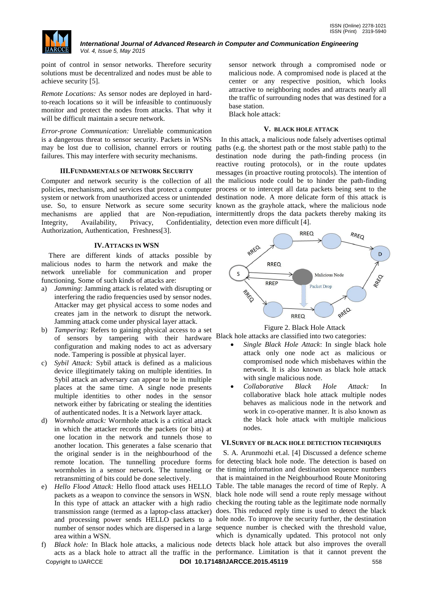

point of control in sensor networks. Therefore security solutions must be decentralized and nodes must be able to achieve security [5].

*Remote Locations:* As sensor nodes are deployed in hardto-reach locations so it will be infeasible to continuously monitor and protect the nodes from attacks. That why it will be difficult maintain a secure network.

*Error-prone Communication:* Unreliable communication is a dangerous threat to sensor security. Packets in WSNs may be lost due to collision, channel errors or routing paths (e.g. the shortest path or the most stable path) to the failures. This may interfere with security mechanisms.

## **III.FUNDAMENTALS OF NETWORK SECURITY**

Computer and network security is the collection of all policies, mechanisms, and services that protect a computer system or network from unauthorized access or unintended destination node. A more delicate form of this attack is use. So, to ensure Network as secure some security known as the grayhole attack, where the malicious node mechanisms are applied that are Non-repudiation, intermittently drops the data packets thereby making its Integrity, Availability, Privacy, Confidentiality, detection even more difficult [4]. Authorization, Authentication, Freshness[3].

## **IV.ATTACKS IN WSN**

There are different kinds of attacks possible by malicious nodes to harm the network and make the network unreliable for communication and proper functioning. Some of such kinds of attacks are:

- a) *Jamming*: Jamming attack is related with disrupting or interfering the radio frequencies used by sensor nodes. Attacker may get physical access to some nodes and creates jam in the network to disrupt the network. Jamming attack come under physical layer attack.
- b) *Tampering:* Refers to gaining physical access to a set of sensors by tampering with their hardware configuration and making nodes to act as adversary node. Tampering is possible at physical layer.
- c) *Sybil Attack:* Sybil attack is defined as a malicious device illegitimately taking on multiple identities. In Sybil attack an adversary can appear to be in multiple places at the same time. A single node presents multiple identities to other nodes in the sensor network either by fabricating or stealing the identities of authenticated nodes. It is a Network layer attack.
- d) *Wormhole attack:* Wormhole attack is a critical attack in which the attacker records the packets (or bits) at one location in the network and tunnels those to another location. This generates a false scenario that the original sender is in the neighbourhood of the wormholes in a sensor network. The tunneling or retransmitting of bits could be done selectively.
- area within a WSN.
- Copyright to IJARCCE **DOI 10.17148/IJARCCE.2015.45119** 558

sensor network through a compromised node or malicious node. A compromised node is placed at the center or any respective position, which looks attractive to neighboring nodes and attracts nearly all the traffic of surrounding nodes that was destined for a base station.

Black hole attack:

# **V. BLACK HOLE ATTACK**

In this attack, a malicious node falsely advertises optimal destination node during the path-finding process (in reactive routing protocols), or in the route updates messages (in proactive routing protocols). The intention of the malicious node could be to hinder the path-finding process or to intercept all data packets being sent to the



Figure 2. Black Hole Attack

- Black hole attacks are classified into two categories:
	- *Single Black Hole Attack*: In single black hole attack only one node act as malicious or compromised node which misbehaves within the network. It is also known as black hole attack with single malicious node.
	- *Collaborative Black Hole Attack:* In collaborative black hole attack multiple nodes behaves as malicious node in the network and work in co-operative manner. It is also known as the black hole attack with multiple malicious nodes.

# **VI.SURVEY OF BLACK HOLE DETECTION TECHNIQUES**

remote location. The tunnelling procedure forms for detecting black hole node. The detection is based on e) *Hello Flood Attack:* Hello flood attack uses HELLO Table. The table manages the record of time of Reply. A packets as a weapon to convince the sensors in WSN. black hole node will send a route reply message without In this type of attack an attacker with a high radio checking the routing table as the legitimate node normally transmission range (termed as a laptop-class attacker) does. This reduced reply time is used to detect the black and processing power sends HELLO packets to a hole node. To improve the security further, the destination number of sensor nodes which are dispersed in a large sequence number is checked with the threshold value, f) *Black hole:* In Black hole attacks, a malicious node detects black hole attack but also improves the overall acts as a black hole to attract all the traffic in the performance. Limitation is that it cannot prevent the S. A. Arunmozhi et.al. [4] Discussed a defence scheme the timing information and destination sequence numbers that is maintained in the Neighbourhood Route Monitoring which is dynamically updated. This protocol not only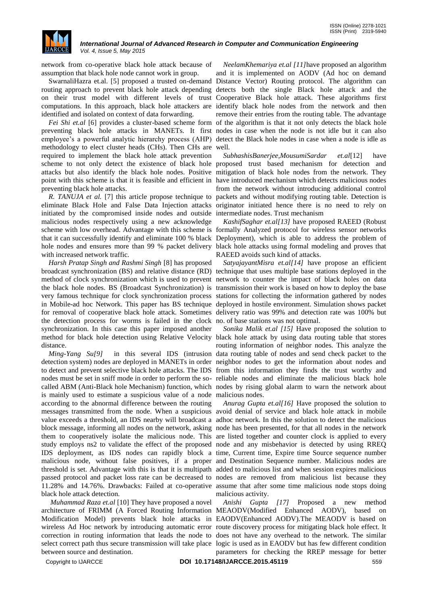

network from co-operative black hole attack because of assumption that black hole node cannot work in group.

routing approach to prevent black hole attack depending detects both the single Black hole attack and the on their trust model with different levels of trust Cooperative Black hole attack. These algorithms first computations. In this approach, black hole attackers are identify black hole nodes from the network and then identified and isolated on context of data forwarding.

preventing black hole attacks in MANETs. It first nodes in case when the node is not idle but it can also employee's a powerful analytic hierarchy process (AHP) detect the Black hole nodes in case when a node is idle as methodology to elect cluster heads (CHs). Then CHs are well. required to implement the black hole attack prevention scheme to not only detect the existence of black hole proposed trust based mechanism for detection and attacks but also identify the black hole nodes. Positive mitigation of black hole nodes from the network. They point with this scheme is that it is feasible and efficient in have introduced mechanism which detects malicious nodes preventing black hole attacks.

eliminate Black Hole and False Data Injection attacks originator initiated hence there is no need to rely on initiated by the compromised inside nodes and outside intermediate nodes. Trust mechanism malicious nodes respectively using a new acknowledge scheme with low overhead. Advantage with this scheme is formally Analyzed protocol for wireless sensor networks that it can successfully identify and eliminate 100 % black Deployment), which is able to address the problem of hole nodes and ensures more than 99 % packet delivery black hole attacks using formal modeling and proves that with increased network traffic.

*Harsh Pratap Singh and Rashmi Singh* [8] has proposed broadcast synchronization (BS) and relative distance (RD) technique that uses multiple base stations deployed in the method of clock synchronization which is used to prevent network to counter the impact of black holes on data the black hole nodes. BS (Broadcast Synchronization) is transmission their work is based on how to deploy the base very famous technique for clock synchronization process stations for collecting the information gathered by nodes in Mobile-ad hoc Network. This paper has BS technique deployed in hostile environment. Simulation shows packet for removal of cooperative black hole attack. Sometimes delivery ratio was 99% and detection rate was 100% but the detection process for worms is failed in the clock no. of base stations was not optimal. synchronization. In this case this paper imposed another method for black hole detection using Relative Velocity black hole attack by using data routing table that stores distance.

detection system) nodes are deployed in MANETs in order neighbor nodes to get the information about nodes and to detect and prevent selective black hole attacks. The IDS from this information they finds the trust worthy and nodes must be set in sniff mode in order to perform the so-reliable nodes and eliminate the malicious black hole called ABM (Anti-Black hole Mechanism) function, which nodes by rising global alarm to warn the network about is mainly used to estimate a suspicious value of a node malicious nodes. according to the abnormal difference between the routing messages transmitted from the node. When a suspicious avoid denial of service and black hole attack in mobile value exceeds a threshold, an IDS nearby will broadcast a adhoc network. In this the solution to detect the malicious block message, informing all nodes on the network, asking node has been presented, for that all nodes in the network them to cooperatively isolate the malicious node. This are listed together and counter clock is applied to every study employs ns2 to validate the effect of the proposed node and any misbehavior is detected by using RREQ IDS deployment, as IDS nodes can rapidly block a time, Current time, Expire time Source sequence number malicious node, without false positives, if a proper and Destination Sequence number. Malicious nodes are threshold is set. Advantage with this is that it is multipath added to malicious list and when session expires malicious passed protocol and packet loss rate can be decreased to nodes are removed from malicious list because they 11.28% and 14.76%. Drawbacks: Failed at co-operative assume that after some time malicious node stops doing black hole attack detection.

*Muhammad Raza et.al* [10] They have proposed a novel between source and destination.

SwarnaliHazra et.al. [5] proposed a trusted on-demand Distance Vector) Routing protocol. The algorithm can *Fei Shi et.al* [6] provides a cluster-based scheme form of the algorithm is that it not only detects the black hole *NeelamKhemariya et.al [11]*have proposed an algorithm and it is implemented on AODV (Ad hoc on demand remove their entries from the routing table. The advantage

R. TANUJA et al. [7] this article propose technique to packets and without modifying routing table. Detection is *SubhashisBanerjee,MousumiSardar et.al*[12] have from the network without introducing additional control

> *KashifSaghar et.al[13]* have proposed RAEED (Robust RAEED avoids such kind of attacks.

> *SatyajayantMisra et.al[14]* have propose an efficient

*Ming-Yang Su[9]* in this several IDS (intrusion data routing table of nodes and send check packet to the *Sonika Malik et.al [15]* Have proposed the solution to routing information of neighbor nodes. This analyze the

> *Anurag Gupta et.al[16]* Have proposed the solution to malicious activity.

architecture of FRIMM (A Forced Routing Information MEAODV(Modified Enhanced AODV), based on Modification Model) prevents black hole attacks in EAODV(Enhanced AODV).The MEAODV is based on wireless Ad Hoc network by introducing automatic error route discovery process for mitigating black hole effect. It correction in routing information that leads the node to does not have any overhead to the network. The similar select correct path thus secure transmission will take place logic is used as in EAODV but has few different condition *Anishi Gupta [17]* Proposed a new method parameters for checking the RREP message for better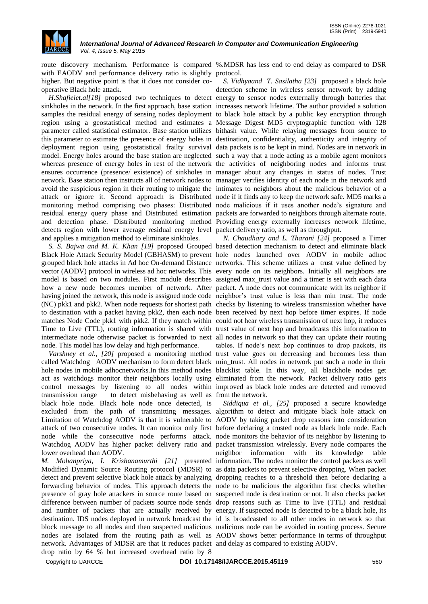

with EAODV and performance delivery ratio is slightly protocol. higher. But negative point is that it does not consider cooperative Black hole attack.

sinkholes in the network. In the first approach, base station increases network lifetime. The author provided a solution samples the residual energy of sensing nodes deployment to black hole attack by a public key encryption through region using a geostatistical method and estimates a Message Digest MD5 cryptographic function with 128 parameter called statistical estimator. Base station utilizes bithash value. While relaying messages from source to this parameter to estimate the presence of energy holes in destination, confidentiality, authenticity and integrity of deployment region using geostatistical frailty survival data packets is to be kept in mind. Nodes are in network in model. Energy holes around the base station are neglected such a way that a node acting as a mobile agent monitors whereas presence of energy holes in rest of the network the activities of neighboring nodes and informs trust ensures occurrence (presence/ existence) of sinkholes in manager about any changes in status of nodes. Trust network. Base station then instructs all of network nodes to manager verifies identity of each node in the network and avoid the suspicious region in their routing to mitigate the intimates to neighbors about the malicious behavior of a attack or ignore it. Second approach is Distributed node if it finds any to keep the network safe. MD5 marks a monitoring method comprising two phases: Distributed node malicious if it uses another node's signature and residual energy query phase and Distributed estimation packets are forwarded to neighbors through alternate route. and detection phase. Distributed monitoring method Providing energy externally increases network lifetime, detects region with lower average residual energy level packet delivery ratio, as well as throughput. and applies a mitigation method to eliminate sinkholes.

Black Hole Attack Security Model (GBHASM) to prevent hole nodes launched over AODV in mobile adhoc grouped black hole attacks in Ad hoc On-demand Distance networks. This scheme utilizes a trust value defined by vector (AODV) protocol in wireless ad hoc networks. This every node on its neighbors. Initially all neighbors are model is based on two modules. First module describes assigned max\_trust value and a timer is set with each data how a new node becomes member of network. After packet. A node does not communicate with its neighbor if having joined the network, this node is assigned node code neighbor's trust value is less than min trust. The node (NC) pkk1 and pkk2. When node requests for shortest path checks by listening to wireless transmission whether have to destination with a packet having pkk2, then each node been received by next hop before timer expires. If node matches Node Code pkk1 with pkk2. If they match within could not hear wireless transmission of next hop, it reduces Time to Live (TTL), routing information is shared with trust value of next hop and broadcasts this information to intermediate node otherwise packet is forwarded to next all nodes in network so that they can update their routing node. This model has low delay and high performance.

called Watchdog AODV mechanism to form detect black min\_trust. All nodes in network put such a node in their hole nodes in mobile adhocnetworks.In this method nodes blacklist table. In this way, all blackhole nodes get act as watchdogs monitor their neighbors locally using eliminated from the network. Packet delivery ratio gets control messages by listening to all nodes within improved as black hole nodes are detected and removed transmission range to detect misbehaving as well as from the network. black hole node. Black hole node once detected, is excluded from the path of transmitting messages. algorithm to detect and mitigate black hole attack on Limitation of Watchdog AODV is that it is vulnerable to AODV by taking packet drop reasons into consideration attack of two consecutive nodes. It can monitor only first before declaring a trusted node as black hole node. Each node while the consecutive node performs attack. node monitors the behavior of its neighbor by listening to Watchdog AODV has higher packet delivery ratio and packet transmission wirelessly. Every node compares the lower overhead than AODV.

*M. Mohanpriya, I. Krishanamurthi [21]* presented information. The nodes monitor the control packets as well Modified Dynamic Source Routing protocol (MDSR) to as data packets to prevent selective dropping. When packet detect and prevent selective black hole attack by analyzing dropping reaches to a threshold then before declaring a forwarding behavior of nodes. This approach detects the node to be malicious the algorithm first checks whether presence of gray hole attackers in source route based on suspected node is destination or not. It also checks packet difference between number of packets source node sends drop reasons such as Time to live (TTL) and residual and number of packets that are actually received by energy. If suspected node is detected to be a black hole, its destination. IDS nodes deployed in network broadcast the id is broadcasted to all other nodes in network so that block message to all nodes and then suspected malicious malicious node can be avoided in routing process. Secure nodes are isolated from the routing path as well as AODV shows better performance in terms of throughput network. Advantages of MDSR are that it reduces packet and delay as compared to existing AODV. drop ratio by 64 % but increased overhead ratio by 8

route discovery mechanism. Performance is compared %.MDSR has less end to end delay as compared to DSR

H.Shafieiet.al[18] proposed two techniques to detect energy to sensor nodes externally through batteries that *S. Vidhyaand T. Sasilatha [23]* proposed a black hole detection scheme in wireless sensor network by adding

*S. S. Bajwa and M. K. Khan [19]* proposed Grouped based detection mechanism to detect and eliminate black Varshney et al., [20] proposed a monitoring method trust value goes on decreasing and becomes less than *N. Chaudhary and L. Tharani [24]* proposed a Timer tables. If node's next hop continues to drop packets, its

> *Siddiqua et al., [25]* proposed a secure knowledge neighbor information with its knowledge table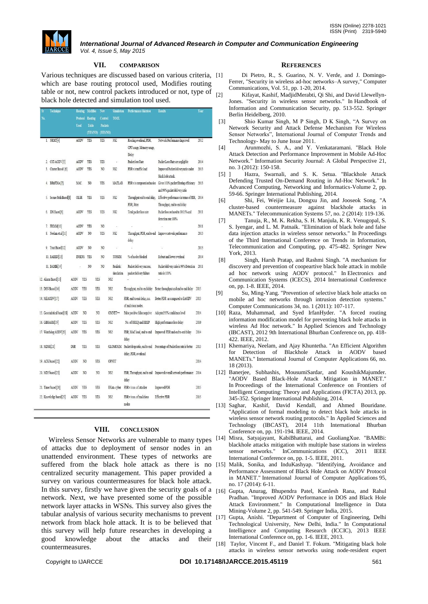

## **VII. COMPARISON**

Various techniques are discussed based on various criteria, which are base routing protocol used, Modifies routing table or not, new control packets introduced or not, type of  $_{[2]}$ black hole detected and simulation tool used.

|     | ST. | <b>Lechnique</b>             | Kouting       |                | Modifies       | Леп            | Simulation      | Performance Matrices                                       | <b>Kesults</b>                                                                                           | Year |
|-----|-----|------------------------------|---------------|----------------|----------------|----------------|-----------------|------------------------------------------------------------|----------------------------------------------------------------------------------------------------------|------|
| No. |     |                              | Protocol      |                | Routing        | Control        | TOOL            |                                                            |                                                                                                          |      |
|     |     |                              | Used          |                | Table          | Packets        |                 |                                                            |                                                                                                          |      |
|     |     |                              |               |                | (YES/NO)       | (YES/NO)       |                 |                                                            |                                                                                                          |      |
|     |     | 1. NRMT <sup>[4]</sup>       | AODV          |                | <b>YES</b>     | YES            | NS <sub>2</sub> | Routing overhead, PDR,                                     | Network Performance Improved                                                                             | 2012 |
|     |     |                              |               |                |                |                |                 | CPU usage, Memory usage,                                   |                                                                                                          |      |
|     |     |                              |               |                |                |                |                 | Delay                                                      |                                                                                                          |      |
|     |     | 2. CST-AODV[5]               | AODV          |                | YES            | YES            |                 | Packet loss Rate                                           | Packet Loss Rate are negligible                                                                          | 2014 |
|     |     | 3. Cluster Based [6]         | <b>AODV</b>   |                | YES            | N <sub>0</sub> | NS <sub>2</sub> | PDR v/s traffic load                                       | Improved Packet delivery ratio under                                                                     | 2013 |
|     |     |                              |               |                |                |                |                 |                                                            | black hole attack.                                                                                       |      |
|     |     | 4. BHnFDIA [7]               | MAC           |                | N <sub>0</sub> | <b>YES</b>     | MATLAB          | PDR v/s compromised nodes                                  | Gives 100% packet filtering efficiency                                                                   | 2013 |
|     |     |                              |               |                |                |                |                 |                                                            | and 99% packet delivery ratio                                                                            |      |
|     |     | 5. Secure Path Based[8]      | <b>OLSR</b>   |                | YES            | <b>YES</b>     | NS2             | PDR. Jitter                                                | Throughput end to end delay, Effective performance in terms of PDR, 2014<br>Throughput, end to end delay |      |
|     |     |                              | AODV          |                | YES            | YES            | NS <sub>2</sub> | Total packet loss rate                                     | Packet loss reduced to 10.05% and                                                                        | 2011 |
|     |     | 6. IDS Based[9]              |               |                |                |                |                 |                                                            | detection rate 100%                                                                                      |      |
|     |     | 7. FRIMM[10]                 | AODV          |                | YES            | N <sub>0</sub> | ÷,              |                                                            |                                                                                                          | 2011 |
|     |     | 8. Neelam et al [11]         | AODV          |                | NO             | <b>YES</b>     | NS <sub>2</sub> |                                                            | Throughput, PDR, end to end Improve network performance                                                  | 2013 |
|     |     |                              |               |                |                |                |                 | delay                                                      |                                                                                                          |      |
|     |     | 9. Trust Based[12]           | AODV          |                | NO             | NO             |                 | ś                                                          |                                                                                                          | 2013 |
|     |     |                              |               |                |                |                |                 | % of nodes blocked                                         | Robust and lower overhead                                                                                |      |
|     |     | 10. RAEED [13]               | <b>INSENS</b> | YES            |                | NO.            | TOSSIM          |                                                            |                                                                                                          | 2014 |
|     |     | 11. BAMBi[14]                |               |                | N <sub>0</sub> | NO             | Realistic       | Packet delivery success,                                   | Packet delivery ratio is 99% Detection                                                                   | 2011 |
|     |     |                              |               |                |                |                | simulation      | packet delivery failure                                    | ratio is 100%                                                                                            |      |
|     |     | 12. Alarm Based[15]          | AODV          | YES            | YES            |                | NS <sub>2</sub> |                                                            |                                                                                                          |      |
|     |     | 13. DSN Based[16]            | AODV          | YES            | YES            |                | NS <sub>2</sub> | Throughput, end to end delay                               | Better throughput and end to end delay                                                                   | 2015 |
|     |     | 14. MEAODV[17]               | AODV          | YES            | YES            |                | NS <sub>2</sub> | PDR, end to end delay, no.                                 | Better PDR as compared to EAODV                                                                          | 2013 |
|     |     |                              |               |                |                |                |                 | of malicious nodes.                                        |                                                                                                          |      |
|     |     | 15. Geostatistical based[18] | AODV          | N <sub>0</sub> | N <sub>0</sub> |                | $OMNET+$        | False positive false negative Adopted 95% confidence level |                                                                                                          | 2014 |
|     |     | 16. GBHASM[19]               | AODV          | YES            | YES            |                | NS <sub>2</sub> | No. of RREQ and RREP                                       | High performance less delay                                                                              | 2010 |
|     |     |                              |               |                |                |                |                 |                                                            |                                                                                                          |      |
|     |     | 17. Watchdog AODV[20]        | AODV          | YES            | YES            |                | NS <sub>2</sub> |                                                            | PDR, MAC load, end to end Improved PDR and end to end delay                                              | 2014 |
|     |     |                              |               |                |                |                |                 | delay                                                      |                                                                                                          |      |
|     |     | 18. MDSR[21]                 | DSR           | YES            | YES            |                |                 |                                                            | GLOMOSIM Packet drop ratio, end to end Percentage of Packet loss rate is better                          | 2013 |
|     |     |                              |               |                |                |                |                 | delay, PDR, overhead                                       |                                                                                                          |      |
|     |     | 19. ACK based[22]            | AODV          | N <sub>0</sub> | YES            |                | OPNET           |                                                            |                                                                                                          | 2014 |
|     |     | 20. MD5 based[23]            | AODV          | N <sub>0</sub> | N <sub>0</sub> |                | NS <sub>2</sub> |                                                            | PDR, Throughput, end to end Improved overall network performance 2014                                    |      |
|     |     |                              |               |                |                |                |                 | delay                                                      |                                                                                                          |      |
|     |     | 21. Timer based[24]          | AODV          | YES            | YES            |                | EXata-cyber     | PDR v/s no. of attacker                                    | Improved PDR                                                                                             | 2015 |
|     |     | 22. Knowledge based[25]      | AODV          | YES            | YES            |                | NS <sub>2</sub> | PDR v/s no. of malicious                                   | <b>Effective PDR</b>                                                                                     | 2015 |
|     |     |                              |               |                |                |                |                 |                                                            |                                                                                                          |      |

## **VIII. CONCLUSION**

Wireless Sensor Networks are vulnerable to many types [14] of attacks due to deployment of sensor nodes in an unattended environment. These types of networks are suffered from the black hole attack as there is no [15] centralized security management. This paper provided a survey on various countermeasures for black hole attack. In this survey, firstly we have given the security goals of a  $[16]$ network. Next, we have presented some of the possible network layer attacks in WSNs. This survey also gives the tabular analysis of various security mechanisms to prevent network from black hole attack. It is to be believed that this survey will help future researches in developing a good knowledge about the attacks and their countermeasures.

#### **REFERENCES**

- Di Pietro, R., S. Guarino, N. V. Verde, and J. Domingo-Ferrer, "Security in wireless ad-hoc networks–A survey," Computer Communications, Vol. 51, pp. 1-20, 2014.
- Kifayat, Kashif, MadjidMerabti, Qi Shi, and David Llewellyn-Jones. "Security in wireless sensor networks." In Handbook of Information and Communication Security, pp. 513-552. Springer Berlin Heidelberg, 2010.
- [3] Shio Kumar Singh, M P Singh, D K Singh, "A Survey on Network Security and Attack Defense Mechanism For Wireless Sensor Networks", International Journal of Computer Trends and Technology- May to June Issue 2011.
- [4] Arunmozhi, S. A., and Y. Venkataramani. "Black Hole Attack Detection and Performance Improvement in Mobile Ad-Hoc Network." Information Security Journal: A Global Perspective 21, no. 3 (2012): 150-158.
- [5] ] Hazra, Swarnali, and S. K. Setua. "Blackhole Attack Defending Trusted On-Demand Routing in Ad-Hoc Network." In Advanced Computing, Networking and Informatics-Volume 2, pp. 59-66. Springer International Publishing, 2014.
- [6] Shi, Fei, Weijie Liu, Dongxu Jin, and Jooseok Song. "A cluster-based countermeasure against blackhole attacks in MANETs." Telecommunication Systems 57, no. 2 (2014): 119-136.
- [7] Tanuja, R., M. K. Rekha, S. H. Manjula, K. R. Venugopal, S. S. Iyengar, and L. M. Patnaik. "Elimination of black hole and false data injection attacks in wireless sensor networks." In Proceedings of the Third International Conference on Trends in Information, Telecommunication and Computing, pp. 475-482. Springer New York, 2013.
- [8] Singh, Harsh Pratap, and Rashmi Singh. "A mechanism for discovery and prevention of coopeartive black hole attack in mobile ad hoc network using AODV protocol." In Electronics and Communication Systems (ICECS), 2014 International Conference on, pp. 1-8. IEEE, 2014.
- [9] Su, Ming-Yang. "Prevention of selective black hole attacks on mobile ad hoc networks through intrusion detection systems." Computer Communications 34, no. 1 (2011): 107-117.
- [10] Raza, Muhammad, and Syed IrfanHyder. "A forced routing information modification model for preventing black hole attacks in wireless Ad Hoc network." In Applied Sciences and Technology (IBCAST), 2012 9th International Bhurban Conference on, pp. 418- 422. IEEE, 2012.
- [11] Khemariya, Neelam, and Ajay Khuntetha. "An Efficient Algorithm for Detection of Blackhole Attack in AODV based MANETs." International Journal of Computer Applications 66, no. 18 (2013).
- [12] Banerjee, Subhashis, MousumiSardar, and KoushikMajumder. "AODV Based Black-Hole Attack Mitigation in MANET." In Proceedings of the International Conference on Frontiers of Intelligent Computing: Theory and Applications (FICTA) 2013, pp. 345-352. Springer International Publishing, 2014.
- [13] Saghar, Kashif, David Kendall, and Ahmed Bouridane. "Application of formal modeling to detect black hole attacks in wireless sensor network routing protocols." In Applied Sciences and Technology (IBCAST), 2014 11th International Bhurban Conference on, pp. 191-194. IEEE, 2014.
- Misra, Satyajayant, KabiBhattarai, and GuoliangXue. "BAMBi: blackhole attacks mitigation with multiple base stations in wireless sensor networks." InCommunications (ICC), 2011 IEEE International Conference on, pp. 1-5. IEEE, 2011.
- [15] Malik, Sonika, and InduKashyap. "Identifying, Avoidance and Performance Assessment of Black Hole Attack on AODV Protocol in MANET." International Journal of Computer Applications 95, no. 17 (2014): 6-11.
- [16] Gupta, Anurag, Bhupendra Patel, Kamlesh Rana, and Rahul Pradhan. "Improved AODV Performance in DOS and Black Hole Attack Environment." In Computational Intelligence in Data Mining-Volume 2, pp. 541-549. Springer India, 2015.
- [17] Gupta, Anishi. "Department of Computer of Engineering, Delhi Technological University, New Delhi, India." In Computational Intelligence and Computing Research (ICCIC), 2013 IEEE International Conference on, pp. 1-6. IEEE, 2013.
- [18] Taylor, Vincent F., and Daniel T. Fokum. "Mitigating black hole attacks in wireless sensor networks using node-resident expert